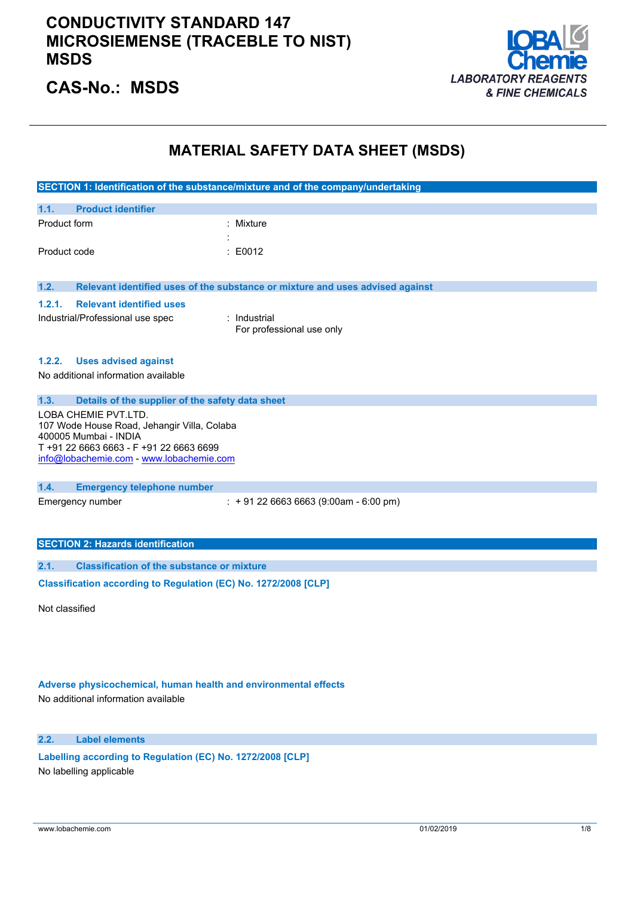## **CONDUCTIVITY STANDARD 147 MICROSIEMENSE (TRACEBLE TO NIST) MSDS**



## **CAS-No.: MSDS**

### **MATERIAL SAFETY DATA SHEET (MSDS)**

|                                                                 | SECTION 1: Identification of the substance/mixture and of the company/undertaking |
|-----------------------------------------------------------------|-----------------------------------------------------------------------------------|
|                                                                 |                                                                                   |
| 1.1.<br><b>Product identifier</b>                               |                                                                                   |
| Product form                                                    | : Mixture                                                                         |
|                                                                 |                                                                                   |
| Product code                                                    | E0012                                                                             |
|                                                                 |                                                                                   |
| 1.2.                                                            | Relevant identified uses of the substance or mixture and uses advised against     |
| <b>Relevant identified uses</b><br>1.2.1.                       |                                                                                   |
| Industrial/Professional use spec                                | : Industrial                                                                      |
|                                                                 | For professional use only                                                         |
|                                                                 |                                                                                   |
| <b>Uses advised against</b><br>1.2.2.                           |                                                                                   |
| No additional information available                             |                                                                                   |
|                                                                 |                                                                                   |
| 1.3.<br>Details of the supplier of the safety data sheet        |                                                                                   |
| LOBA CHEMIE PVT.I TD.                                           |                                                                                   |
| 107 Wode House Road, Jehangir Villa, Colaba                     |                                                                                   |
| 400005 Mumbai - INDIA<br>T+91 22 6663 6663 - F+91 22 6663 6699  |                                                                                   |
| info@lobachemie.com - www.lobachemie.com                        |                                                                                   |
|                                                                 |                                                                                   |
| 1.4.<br><b>Emergency telephone number</b>                       |                                                                                   |
| Emergency number                                                | $\div$ + 91 22 6663 6663 (9:00am - 6:00 pm)                                       |
|                                                                 |                                                                                   |
|                                                                 |                                                                                   |
| <b>SECTION 2: Hazards identification</b>                        |                                                                                   |
| 2.1.<br><b>Classification of the substance or mixture</b>       |                                                                                   |
| Classification according to Regulation (EC) No. 1272/2008 [CLP] |                                                                                   |

Not classified

### **Adverse physicochemical, human health and environmental effects**

No additional information available

### **2.2. Label elements**

**Labelling according to** Regulation (EC) No. 1272/2008 [CLP] No labelling applicable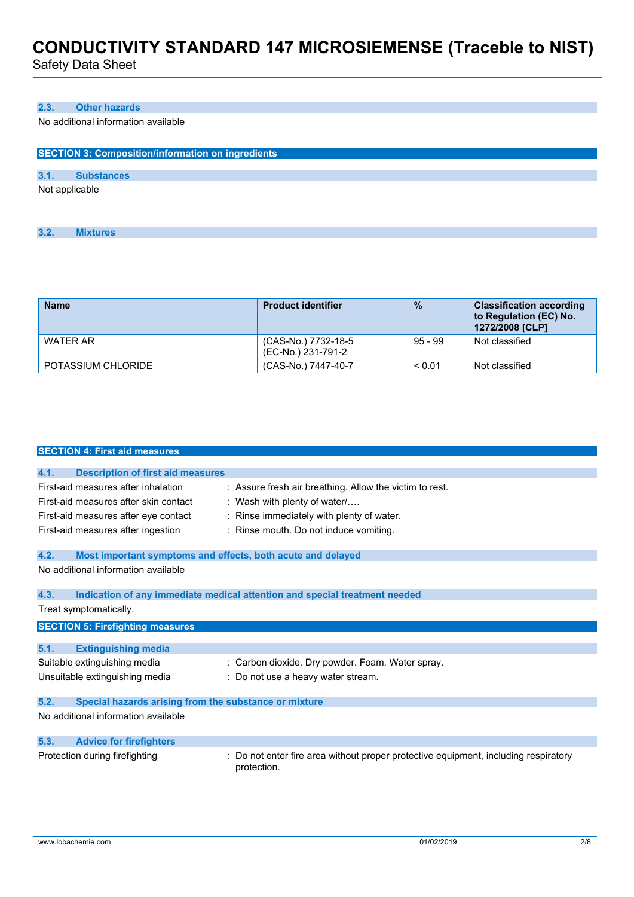Safety Data Sheet

### **2.3. Other hazards**

No additional information available

| <b>SECTION 3: Composition/information on ingredients</b> |                   |  |  |
|----------------------------------------------------------|-------------------|--|--|
|                                                          |                   |  |  |
| 3.1.                                                     | <b>Substances</b> |  |  |
| Not applicable                                           |                   |  |  |

| <b>Name</b>        | <b>Product identifier</b>                 | $\frac{0}{0}$ | <b>Classification according</b><br>to Regulation (EC) No.<br>1272/2008 [CLP] |
|--------------------|-------------------------------------------|---------------|------------------------------------------------------------------------------|
| WATER AR           | (CAS-No.) 7732-18-5<br>(EC-No.) 231-791-2 | $95 - 99$     | Not classified                                                               |
| POTASSIUM CHLORIDE | (CAS-No.) 7447-40-7                       | < 0.01        | Not classified                                                               |

|      | <b>SECTION 4: First aid measures</b>                  |                                                                                                  |
|------|-------------------------------------------------------|--------------------------------------------------------------------------------------------------|
|      |                                                       |                                                                                                  |
| 4.1. | <b>Description of first aid measures</b>              |                                                                                                  |
|      | First-aid measures after inhalation                   | : Assure fresh air breathing. Allow the victim to rest.                                          |
|      | First-aid measures after skin contact                 | : Wash with plenty of water $/$                                                                  |
|      | First-aid measures after eye contact                  | : Rinse immediately with plenty of water.                                                        |
|      | First-aid measures after ingestion                    | : Rinse mouth. Do not induce vomiting.                                                           |
| 4.2. |                                                       | Most important symptoms and effects, both acute and delayed                                      |
|      | No additional information available                   |                                                                                                  |
| 4.3. |                                                       | Indication of any immediate medical attention and special treatment needed                       |
|      | Treat symptomatically.                                |                                                                                                  |
|      | <b>SECTION 5: Firefighting measures</b>               |                                                                                                  |
|      |                                                       |                                                                                                  |
| 5.1. | <b>Extinguishing media</b>                            |                                                                                                  |
|      | Suitable extinguishing media                          | : Carbon dioxide. Dry powder. Foam. Water spray.                                                 |
|      | Unsuitable extinguishing media                        | : Do not use a heavy water stream.                                                               |
| 5.2. | Special hazards arising from the substance or mixture |                                                                                                  |
|      | No additional information available                   |                                                                                                  |
| 5.3. | <b>Advice for firefighters</b>                        |                                                                                                  |
|      | Protection during firefighting                        | Do not enter fire area without proper protective equipment, including respiratory<br>protection. |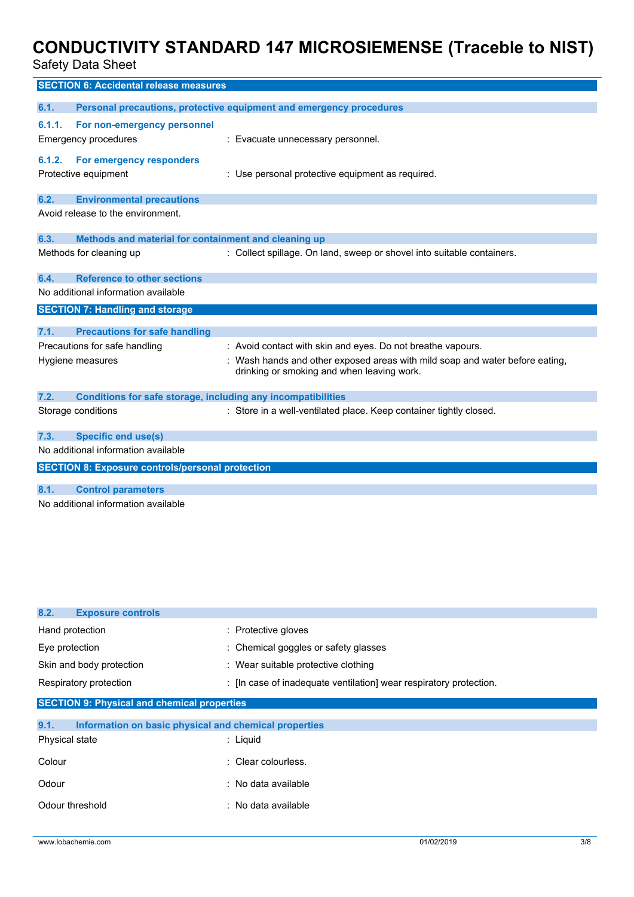### Safety Data Sheet

| <b>SECTION 6: Accidental release measures</b>                               |                                                                              |
|-----------------------------------------------------------------------------|------------------------------------------------------------------------------|
|                                                                             |                                                                              |
| 6.1.<br>Personal precautions, protective equipment and emergency procedures |                                                                              |
| 6.1.1.<br>For non-emergency personnel                                       |                                                                              |
| Emergency procedures<br>: Evacuate unnecessary personnel.                   |                                                                              |
| For emergency responders<br>6.1.2.                                          |                                                                              |
| Protective equipment                                                        | : Use personal protective equipment as required.                             |
| 6.2.<br><b>Environmental precautions</b>                                    |                                                                              |
| Avoid release to the environment.                                           |                                                                              |
| Methods and material for containment and cleaning up<br>6.3.                |                                                                              |
| Methods for cleaning up                                                     | : Collect spillage. On land, sweep or shovel into suitable containers.       |
| <b>Reference to other sections</b><br>6.4.                                  |                                                                              |
| No additional information available                                         |                                                                              |
| <b>SECTION 7: Handling and storage</b>                                      |                                                                              |
| <b>Precautions for safe handling</b><br>7.1.                                |                                                                              |
| Precautions for safe handling                                               | : Avoid contact with skin and eyes. Do not breathe vapours.                  |
|                                                                             | : Wash hands and other exposed areas with mild soap and water before eating, |
| Hygiene measures                                                            | drinking or smoking and when leaving work.                                   |
| 7.2.<br>Conditions for safe storage, including any incompatibilities        |                                                                              |
| Storage conditions                                                          | : Store in a well-ventilated place. Keep container tightly closed.           |
| <b>Specific end use(s)</b><br>7.3.                                          |                                                                              |
| No additional information available                                         |                                                                              |
| <b>SECTION 8: Exposure controls/personal protection</b>                     |                                                                              |
| 8.1.<br><b>Control parameters</b>                                           |                                                                              |
| No additional information available                                         |                                                                              |

| 8.2.<br><b>Exposure controls</b>                              |                                                                    |  |  |
|---------------------------------------------------------------|--------------------------------------------------------------------|--|--|
| Hand protection                                               | : Protective gloves                                                |  |  |
| Eye protection                                                | : Chemical goggles or safety glasses                               |  |  |
| Skin and body protection                                      | : Wear suitable protective clothing                                |  |  |
| Respiratory protection                                        | : [In case of inadequate ventilation] wear respiratory protection. |  |  |
| <b>SECTION 9: Physical and chemical properties</b>            |                                                                    |  |  |
| 9.1.<br>Information on basic physical and chemical properties |                                                                    |  |  |
| Physical state                                                | $:$ Liquid                                                         |  |  |
| Colour                                                        | : Clear colourless.                                                |  |  |
| Odour                                                         | : No data available                                                |  |  |
| Odour threshold                                               | : No data available                                                |  |  |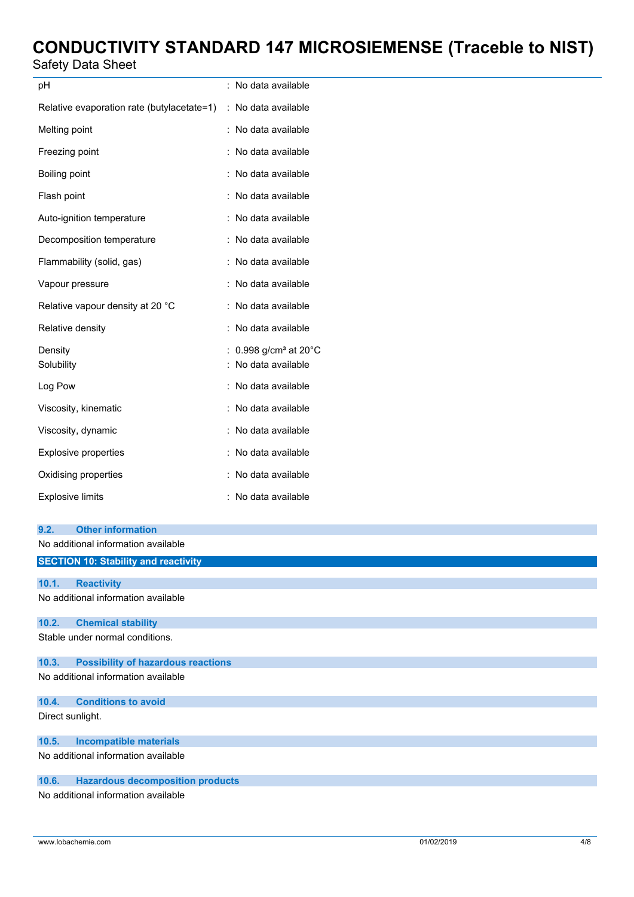### Safety Data Sheet

| рH                                         |   | No data available                                              |
|--------------------------------------------|---|----------------------------------------------------------------|
| Relative evaporation rate (butylacetate=1) | ÷ | No data available                                              |
| Melting point                              |   | No data available                                              |
| Freezing point                             |   | No data available                                              |
| Boiling point                              |   | No data available                                              |
| Flash point                                |   | No data available                                              |
| Auto-ignition temperature                  |   | No data available                                              |
| Decomposition temperature                  |   | No data available                                              |
| Flammability (solid, gas)                  |   | No data available                                              |
| Vapour pressure                            |   | No data available                                              |
| Relative vapour density at 20 °C           |   | No data available                                              |
| Relative density                           |   | No data available                                              |
| Density<br>Solubility                      |   | 0.998 g/cm <sup>3</sup> at $20^{\circ}$ C<br>No data available |
| Log Pow                                    |   | No data available                                              |
| Viscosity, kinematic                       |   | No data available                                              |
| Viscosity, dynamic                         |   | No data available                                              |
| <b>Explosive properties</b>                |   | No data available                                              |
| Oxidising properties                       |   | No data available                                              |
| <b>Explosive limits</b>                    |   | No data available                                              |

| 9.2. | <b>Other information</b> |  |
|------|--------------------------|--|
|      |                          |  |

No additional information available

|                  | <b>SECTION 10: Stability and reactivity</b> |
|------------------|---------------------------------------------|
|                  |                                             |
| 10.1.            | <b>Reactivity</b>                           |
|                  | No additional information available         |
| 10.2.            | <b>Chemical stability</b>                   |
|                  | Stable under normal conditions.             |
| 10.3.            | <b>Possibility of hazardous reactions</b>   |
|                  | No additional information available         |
| 10.4.            | <b>Conditions to avoid</b>                  |
| Direct sunlight. |                                             |
| 10.5.            | <b>Incompatible materials</b>               |
|                  | No additional information available         |
| 10.6.            | <b>Hazardous decomposition products</b>     |
|                  | No additional information available         |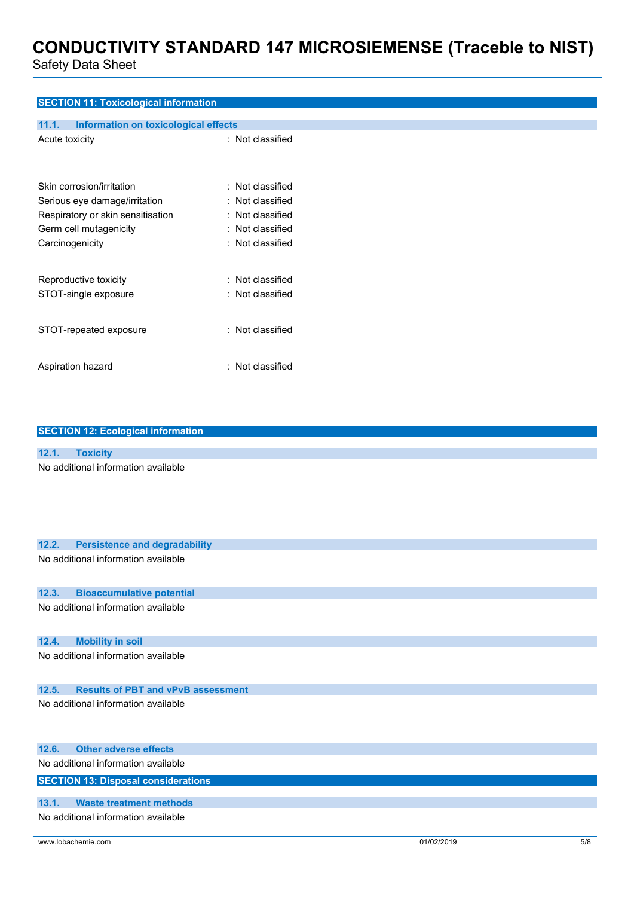Safety Data Sheet

### **SECTION 11: Toxicological information**

Acute toxicity **in the case of the CALIC CONTEX** : Not classified

| Skin corrosion/irritation         | : Not classified |
|-----------------------------------|------------------|
| Serious eye damage/irritation     | : Not classified |
| Respiratory or skin sensitisation | : Not classified |
| Germ cell mutagenicity            | : Not classified |
| Carcinogenicity                   | : Not classified |
| Reproductive toxicity             | : Not classified |
| STOT-single exposure              | : Not classified |
| STOT-repeated exposure            | : Not classified |
| Aspiration hazard                 | : Not classified |

| <b>SECTION 12: Ecological information</b>          |
|----------------------------------------------------|
|                                                    |
| 12.1.<br><b>Toxicity</b>                           |
| No additional information available                |
|                                                    |
|                                                    |
|                                                    |
| <b>Persistence and degradability</b><br>12.2.      |
| No additional information available                |
|                                                    |
| 12.3.<br><b>Bioaccumulative potential</b>          |
| No additional information available                |
|                                                    |
| <b>Mobility in soil</b><br>12.4.                   |
| No additional information available                |
|                                                    |
|                                                    |
| 12.5.<br><b>Results of PBT and vPvB assessment</b> |
| No additional information available                |
|                                                    |
|                                                    |
| <b>Other adverse effects</b><br>12.6.              |
| No additional information available                |

**SECTION 13: Disposal considerations**

### **13.1. Waste treatment methods**

No additional information available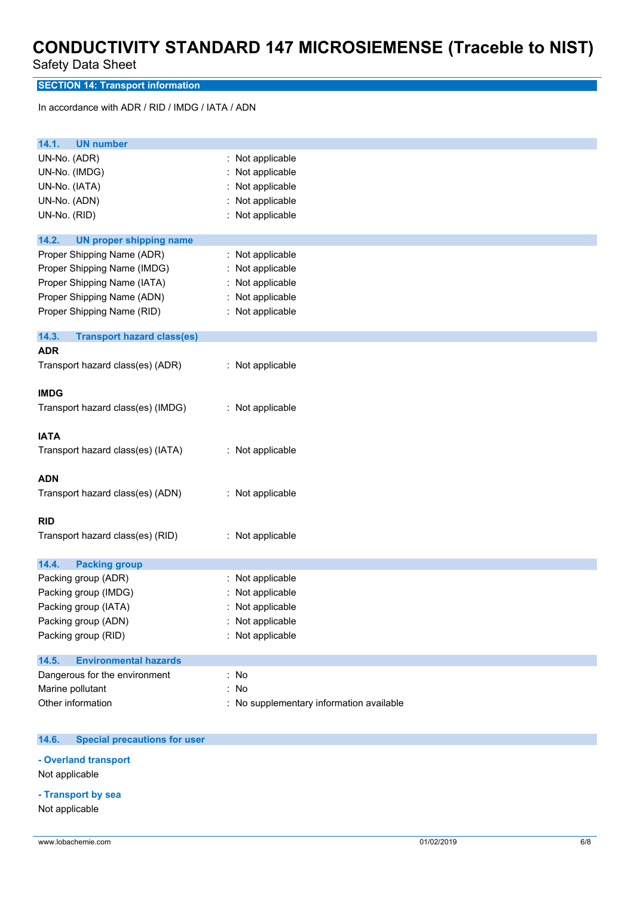Safety Data Sheet

**SECTION 14: Transport information**

In accordance with ADR / RID / IMDG / IATA / ADN

| <b>UN number</b><br>14.1.                  |                                        |
|--------------------------------------------|----------------------------------------|
| UN-No. (ADR)                               | : Not applicable                       |
| UN-No. (IMDG)                              | Not applicable                         |
| UN-No. (IATA)                              | Not applicable                         |
| UN-No. (ADN)                               | Not applicable                         |
| UN-No. (RID)                               | Not applicable                         |
| 14.2.<br><b>UN proper shipping name</b>    |                                        |
| Proper Shipping Name (ADR)                 | : Not applicable                       |
| Proper Shipping Name (IMDG)                | Not applicable                         |
| Proper Shipping Name (IATA)                | Not applicable                         |
| Proper Shipping Name (ADN)                 | Not applicable                         |
| Proper Shipping Name (RID)                 | : Not applicable                       |
| 14.3.<br><b>Transport hazard class(es)</b> |                                        |
| <b>ADR</b>                                 |                                        |
| Transport hazard class(es) (ADR)           | : Not applicable                       |
| <b>IMDG</b>                                |                                        |
| Transport hazard class(es) (IMDG)          | : Not applicable                       |
| <b>IATA</b>                                |                                        |
| Transport hazard class(es) (IATA)          | : Not applicable                       |
| <b>ADN</b>                                 |                                        |
| Transport hazard class(es) (ADN)           | : Not applicable                       |
| <b>RID</b>                                 |                                        |
| Transport hazard class(es) (RID)           | : Not applicable                       |
| <b>Packing group</b><br>14.4.              |                                        |
| Packing group (ADR)                        | : Not applicable                       |
| Packing group (IMDG)                       | Not applicable                         |
| Packing group (IATA)                       | Not applicable                         |
| Packing group (ADN)                        | Not applicable                         |
| Packing group (RID)                        | : Not applicable                       |
| 14.5.<br><b>Environmental hazards</b>      |                                        |
| Dangerous for the environment              | $:$ No                                 |
| Marine pollutant                           | : No                                   |
| Other information                          | No supplementary information available |

#### $14.6.$ **14.6. Special precautions for user**

**- Overland transport**

Not applicable

**- Transport by sea**

Not applicable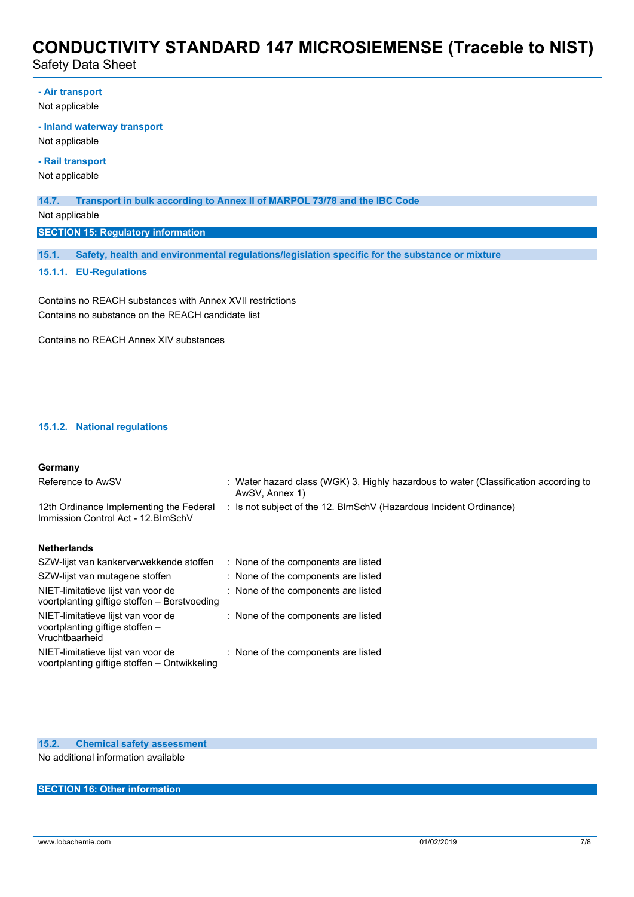### Safety Data Sheet

**- Air transport**

Not applicable

#### **- Inland waterway transport**

Not applicable

**- Rail transport**

Not applicable

### **14.7. Transport in bulk according to Annex II of MARPOL 73/78 and the IBC Code**

Not applicable

**SECTION 15: Regulatory information**

**15.1. Safety, health and environmental regulations/legislation specific for the substance or mixture**

#### **15.1.1. EU-Regulations**

Contains no REACH substances with Annex XVII restrictions Contains no substance on the REACH candidate list

Contains no REACH Annex XIV substances

### **15.1.2. National regulations**

#### **Germany**

| Reference to AwSV                                                                       | : Water hazard class (WGK) 3, Highly hazardous to water (Classification according to<br>AwSV, Annex 1) |
|-----------------------------------------------------------------------------------------|--------------------------------------------------------------------------------------------------------|
| 12th Ordinance Implementing the Federal<br>Immission Control Act - 12. BlmSchV          | : Is not subject of the 12. BlmSchV (Hazardous Incident Ordinance)                                     |
| <b>Netherlands</b>                                                                      |                                                                                                        |
| SZW-lijst van kankerverwekkende stoffen                                                 | : None of the components are listed                                                                    |
| SZW-lijst van mutagene stoffen                                                          | : None of the components are listed                                                                    |
| NIET-limitatieve lijst van voor de<br>voortplanting giftige stoffen - Borstvoeding      | : None of the components are listed                                                                    |
| NIET-limitatieve lijst van voor de<br>voortplanting giftige stoffen -<br>Vruchtbaarheid | : None of the components are listed                                                                    |
| NIET-limitatieve lijst van voor de<br>voortplanting giftige stoffen - Ontwikkeling      | : None of the components are listed                                                                    |

### **15.2. Chemical safety assessment**

No additional information available

### **SECTION 16: Other information**